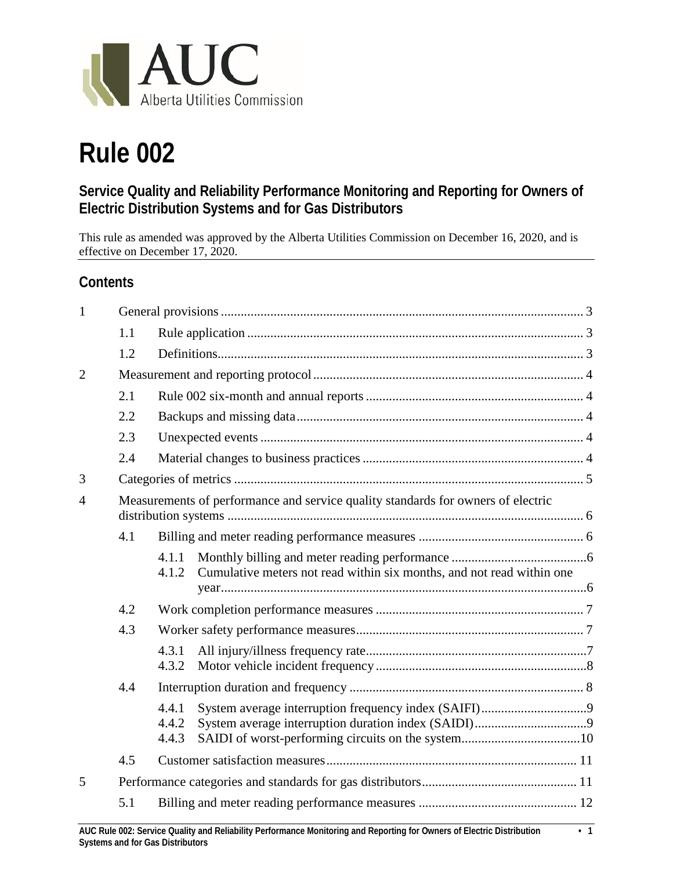

# **Rule 002**

# **Service Quality and Reliability Performance Monitoring and Reporting for Owners of Electric Distribution Systems and for Gas Distributors**

This rule as amended was approved by the Alberta Utilities Commission on December 16, 2020, and is effective on December 17, 2020.

# **Contents**

| $\mathbf{1}$   |                                                                                  |                         |                                                                       |  |
|----------------|----------------------------------------------------------------------------------|-------------------------|-----------------------------------------------------------------------|--|
|                | 1.1                                                                              |                         |                                                                       |  |
|                | 1.2                                                                              |                         |                                                                       |  |
| $\overline{2}$ |                                                                                  |                         |                                                                       |  |
|                | 2.1                                                                              |                         |                                                                       |  |
|                | 2.2                                                                              |                         |                                                                       |  |
|                | 2.3                                                                              |                         |                                                                       |  |
|                | 2.4                                                                              |                         |                                                                       |  |
| 3              |                                                                                  |                         |                                                                       |  |
| 4              | Measurements of performance and service quality standards for owners of electric |                         |                                                                       |  |
|                | 4.1                                                                              |                         |                                                                       |  |
|                |                                                                                  | 4.1.1<br>4.1.2          | Cumulative meters not read within six months, and not read within one |  |
|                | 4.2                                                                              |                         |                                                                       |  |
| 4.3            |                                                                                  |                         |                                                                       |  |
|                |                                                                                  | 4.3.1<br>4.3.2          |                                                                       |  |
|                | 4.4                                                                              |                         |                                                                       |  |
|                |                                                                                  | 4.4.1<br>4.4.2<br>4.4.3 |                                                                       |  |
|                | 4.5                                                                              |                         |                                                                       |  |
| 5              |                                                                                  |                         |                                                                       |  |
|                | 5.1                                                                              |                         |                                                                       |  |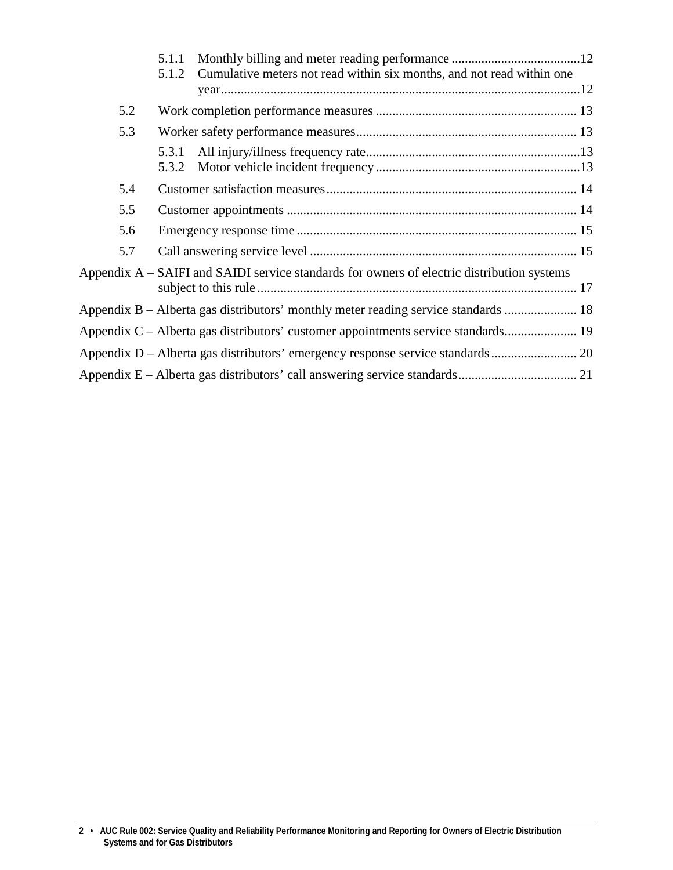|     | 5.1.1          |                                                                                              |  |
|-----|----------------|----------------------------------------------------------------------------------------------|--|
|     | 5.1.2          | Cumulative meters not read within six months, and not read within one                        |  |
| 5.2 |                |                                                                                              |  |
| 5.3 |                |                                                                                              |  |
|     | 5.3.1<br>5.3.2 |                                                                                              |  |
| 5.4 |                |                                                                                              |  |
| 5.5 |                |                                                                                              |  |
| 5.6 |                |                                                                                              |  |
| 5.7 |                |                                                                                              |  |
|     |                | Appendix $A - SAIFI$ and SAIDI service standards for owners of electric distribution systems |  |
|     |                | Appendix B – Alberta gas distributors' monthly meter reading service standards  18           |  |
|     |                | Appendix C – Alberta gas distributors' customer appointments service standards 19            |  |
|     |                |                                                                                              |  |
|     |                |                                                                                              |  |

**<sup>2 •</sup> AUC Rule 002: Service Quality and Reliability Performance Monitoring and Reporting for Owners of Electric Distribution Systems and for Gas Distributors**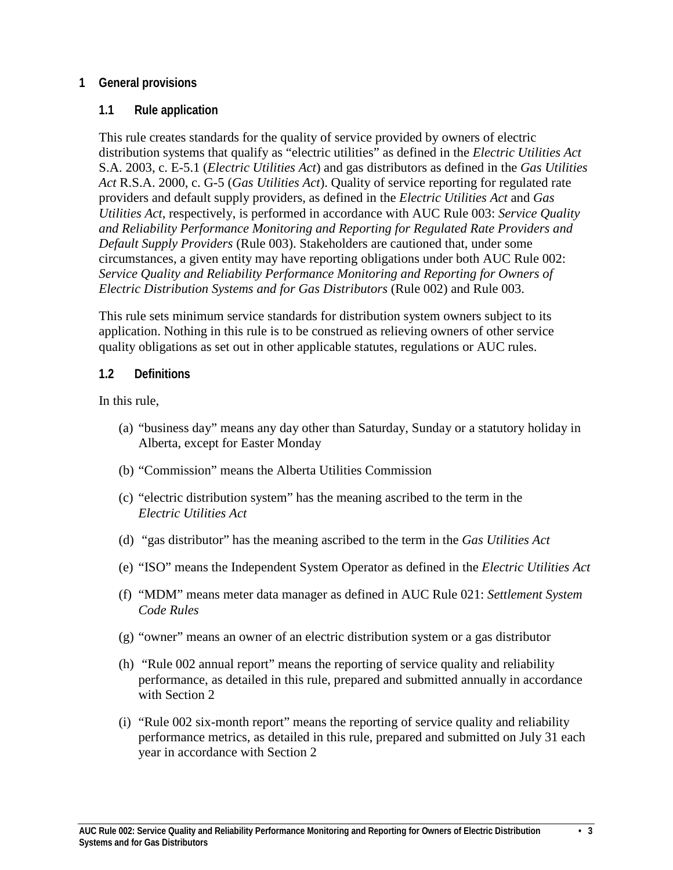## <span id="page-2-0"></span>**1 General provisions**

#### <span id="page-2-1"></span>**1.1 Rule application**

This rule creates standards for the quality of service provided by owners of electric distribution systems that qualify as "electric utilities" as defined in the *Electric Utilities Act* S.A. 2003, c. E-5.1 (*Electric Utilities Act*) and gas distributors as defined in the *Gas Utilities Act* R.S.A. 2000, c. G-5 (*Gas Utilities Act*). Quality of service reporting for regulated rate providers and default supply providers, as defined in the *Electric Utilities Act* and *Gas Utilities Act*, respectively, is performed in accordance with AUC Rule 003: *Service Quality and Reliability Performance Monitoring and Reporting for Regulated Rate Providers and Default Supply Providers* (Rule 003). Stakeholders are cautioned that, under some circumstances, a given entity may have reporting obligations under both AUC Rule 002: *Service Quality and Reliability Performance Monitoring and Reporting for Owners of Electric Distribution Systems and for Gas Distributors* (Rule 002) and Rule 003.

This rule sets minimum service standards for distribution system owners subject to its application. Nothing in this rule is to be construed as relieving owners of other service quality obligations as set out in other applicable statutes, regulations or AUC rules.

#### <span id="page-2-2"></span>**1.2 Definitions**

In this rule,

- (a) "business day" means any day other than Saturday, Sunday or a statutory holiday in Alberta, except for Easter Monday
- (b) "Commission" means the Alberta Utilities Commission
- (c) "electric distribution system" has the meaning ascribed to the term in the *Electric Utilities Act*
- (d) "gas distributor" has the meaning ascribed to the term in the *Gas Utilities Act*
- (e) "ISO" means the Independent System Operator as defined in the *Electric Utilities Act*
- (f) "MDM" means meter data manager as defined in AUC Rule 021: *Settlement System Code Rules*
- (g) "owner" means an owner of an electric distribution system or a gas distributor
- (h) "Rule 002 annual report" means the reporting of service quality and reliability performance, as detailed in this rule, prepared and submitted annually in accordance with Section 2
- (i) "Rule 002 six-month report" means the reporting of service quality and reliability performance metrics, as detailed in this rule, prepared and submitted on July 31 each year in accordance with Section 2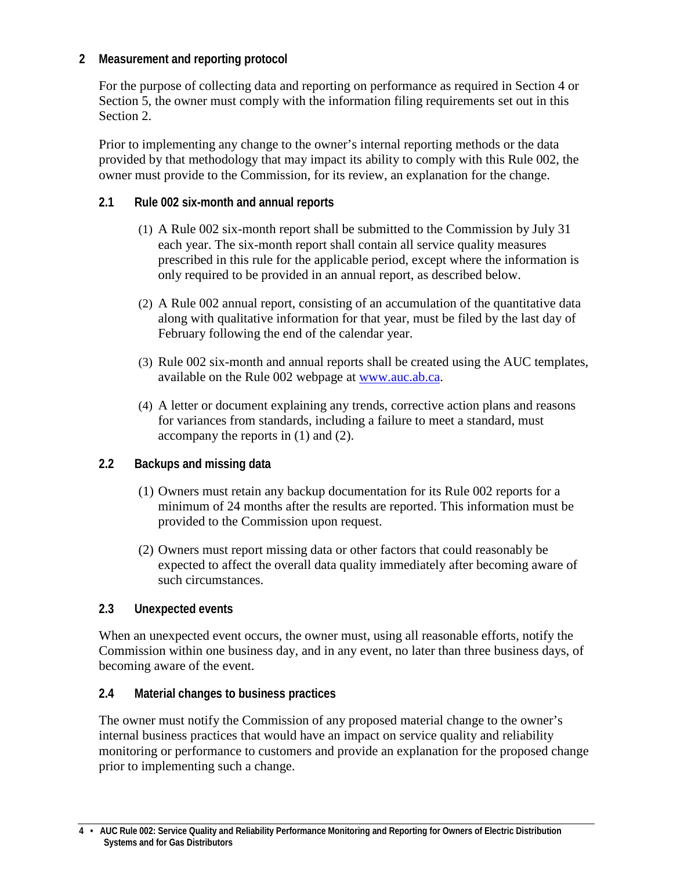# <span id="page-3-0"></span>**2 Measurement and reporting protocol**

For the purpose of collecting data and reporting on performance as required in Section 4 or Section 5, the owner must comply with the information filing requirements set out in this Section 2.

Prior to implementing any change to the owner's internal reporting methods or the data provided by that methodology that may impact its ability to comply with this Rule 002, the owner must provide to the Commission, for its review, an explanation for the change.

# <span id="page-3-1"></span>**2.1 Rule 002 six-month and annual reports**

- (1) A Rule 002 six-month report shall be submitted to the Commission by July 31 each year. The six-month report shall contain all service quality measures prescribed in this rule for the applicable period, except where the information is only required to be provided in an annual report, as described below.
- (2) A Rule 002 annual report, consisting of an accumulation of the quantitative data along with qualitative information for that year, must be filed by the last day of February following the end of the calendar year.
- (3) Rule 002 six-month and annual reports shall be created using the AUC templates, available on the Rule 002 webpage at [www.auc.ab.ca.](http://www.auc.ab.ca/)
- (4) A letter or document explaining any trends, corrective action plans and reasons for variances from standards, including a failure to meet a standard, must accompany the reports in (1) and (2).

# <span id="page-3-2"></span>**2.2 Backups and missing data**

- (1) Owners must retain any backup documentation for its Rule 002 reports for a minimum of 24 months after the results are reported. This information must be provided to the Commission upon request.
- (2) Owners must report missing data or other factors that could reasonably be expected to affect the overall data quality immediately after becoming aware of such circumstances.

## <span id="page-3-3"></span>**2.3 Unexpected events**

When an unexpected event occurs, the owner must, using all reasonable efforts, notify the Commission within one business day, and in any event, no later than three business days, of becoming aware of the event.

# <span id="page-3-4"></span>**2.4 Material changes to business practices**

The owner must notify the Commission of any proposed material change to the owner's internal business practices that would have an impact on service quality and reliability monitoring or performance to customers and provide an explanation for the proposed change prior to implementing such a change.

**<sup>4 •</sup> AUC Rule 002: Service Quality and Reliability Performance Monitoring and Reporting for Owners of Electric Distribution Systems and for Gas Distributors**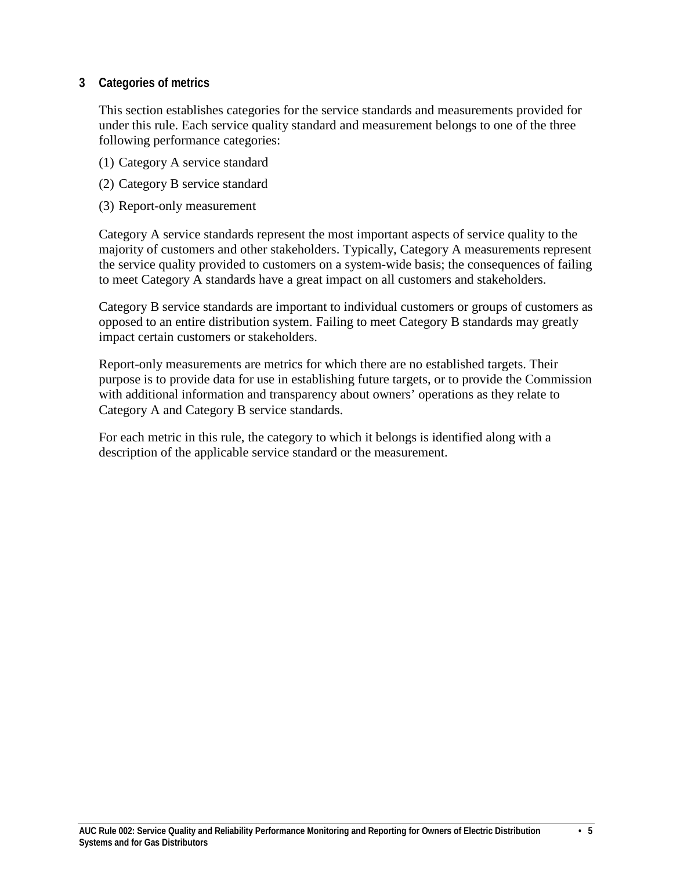## <span id="page-4-0"></span>**3 Categories of metrics**

This section establishes categories for the service standards and measurements provided for under this rule. Each service quality standard and measurement belongs to one of the three following performance categories:

- (1) Category A service standard
- (2) Category B service standard
- (3) Report-only measurement

Category A service standards represent the most important aspects of service quality to the majority of customers and other stakeholders. Typically, Category A measurements represent the service quality provided to customers on a system-wide basis; the consequences of failing to meet Category A standards have a great impact on all customers and stakeholders.

Category B service standards are important to individual customers or groups of customers as opposed to an entire distribution system. Failing to meet Category B standards may greatly impact certain customers or stakeholders.

Report-only measurements are metrics for which there are no established targets. Their purpose is to provide data for use in establishing future targets, or to provide the Commission with additional information and transparency about owners' operations as they relate to Category A and Category B service standards.

For each metric in this rule, the category to which it belongs is identified along with a description of the applicable service standard or the measurement.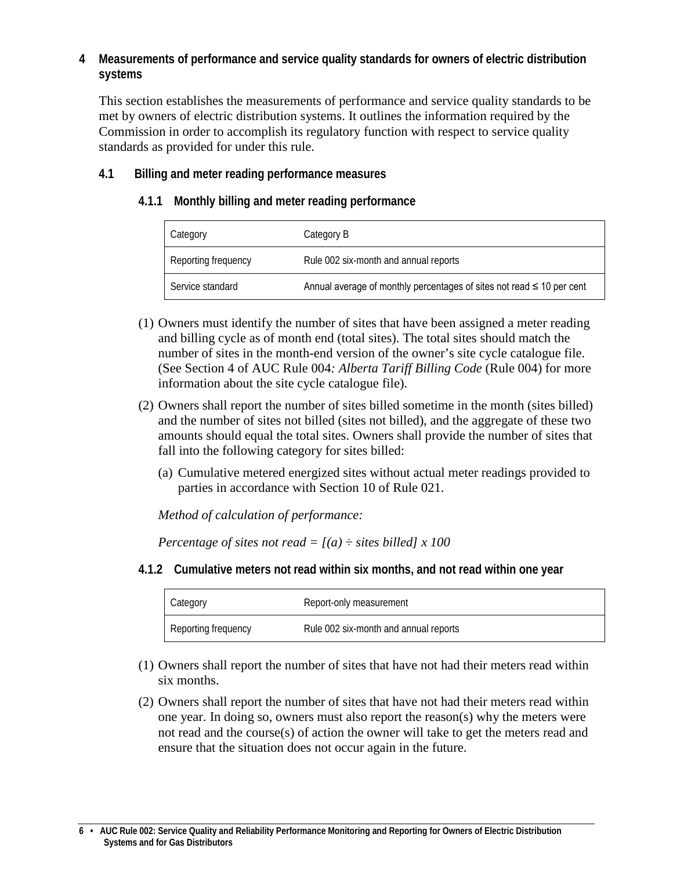# <span id="page-5-0"></span>**4 Measurements of performance and service quality standards for owners of electric distribution systems**

This section establishes the measurements of performance and service quality standards to be met by owners of electric distribution systems. It outlines the information required by the Commission in order to accomplish its regulatory function with respect to service quality standards as provided for under this rule.

# <span id="page-5-2"></span><span id="page-5-1"></span>**4.1 Billing and meter reading performance measures**

# **4.1.1 Monthly billing and meter reading performance**

| Category            | Category B                                                                 |
|---------------------|----------------------------------------------------------------------------|
| Reporting frequency | Rule 002 six-month and annual reports                                      |
| Service standard    | Annual average of monthly percentages of sites not read $\leq$ 10 per cent |

- (1) Owners must identify the number of sites that have been assigned a meter reading and billing cycle as of month end (total sites). The total sites should match the number of sites in the month-end version of the owner's site cycle catalogue file. (See Section 4 of AUC Rule 004*: Alberta Tariff Billing Code* (Rule 004) for more information about the site cycle catalogue file).
- (2) Owners shall report the number of sites billed sometime in the month (sites billed) and the number of sites not billed (sites not billed), and the aggregate of these two amounts should equal the total sites. Owners shall provide the number of sites that fall into the following category for sites billed:
	- (a) Cumulative metered energized sites without actual meter readings provided to parties in accordance with Section 10 of Rule 021.

*Method of calculation of performance:*

*Percentage of sites not read*  $= [(a) \div \text{sites}$  *billed] x 100* 

<span id="page-5-3"></span>**4.1.2 Cumulative meters not read within six months, and not read within one year**

| Category            | Report-only measurement               |
|---------------------|---------------------------------------|
| Reporting frequency | Rule 002 six-month and annual reports |

- (1) Owners shall report the number of sites that have not had their meters read within six months.
- (2) Owners shall report the number of sites that have not had their meters read within one year. In doing so, owners must also report the reason(s) why the meters were not read and the course(s) of action the owner will take to get the meters read and ensure that the situation does not occur again in the future.

**<sup>6 •</sup> AUC Rule 002: Service Quality and Reliability Performance Monitoring and Reporting for Owners of Electric Distribution Systems and for Gas Distributors**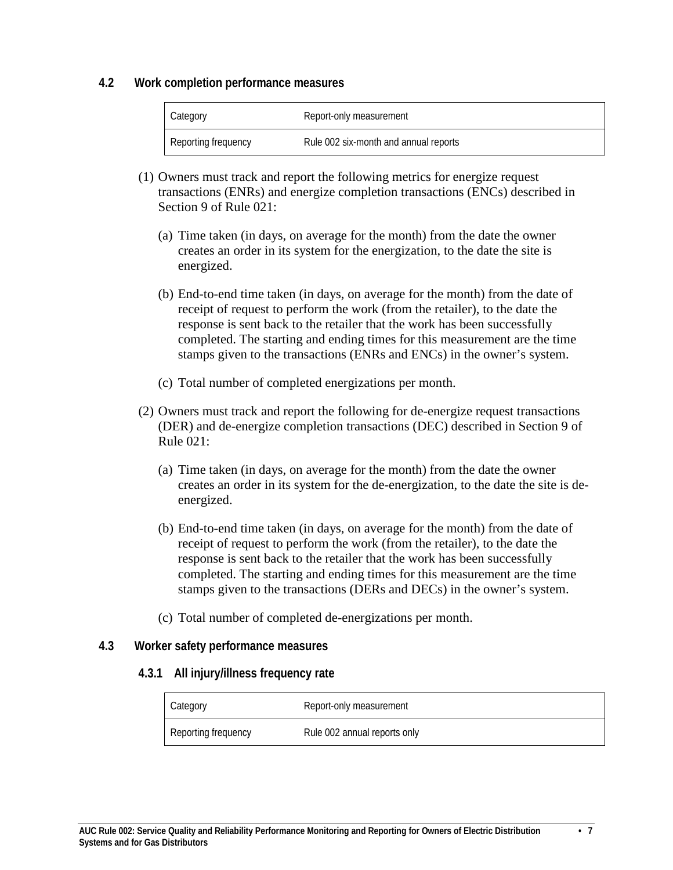#### <span id="page-6-0"></span>**4.2 Work completion performance measures**

| Category            | Report-only measurement               |
|---------------------|---------------------------------------|
| Reporting frequency | Rule 002 six-month and annual reports |

- (1) Owners must track and report the following metrics for energize request transactions (ENRs) and energize completion transactions (ENCs) described in Section 9 of Rule 021:
	- (a) Time taken (in days, on average for the month) from the date the owner creates an order in its system for the energization, to the date the site is energized.
	- (b) End-to-end time taken (in days, on average for the month) from the date of receipt of request to perform the work (from the retailer), to the date the response is sent back to the retailer that the work has been successfully completed. The starting and ending times for this measurement are the time stamps given to the transactions (ENRs and ENCs) in the owner's system.
	- (c) Total number of completed energizations per month.
- (2) Owners must track and report the following for de-energize request transactions (DER) and de-energize completion transactions (DEC) described in Section 9 of Rule 021:
	- (a) Time taken (in days, on average for the month) from the date the owner creates an order in its system for the de-energization, to the date the site is deenergized.
	- (b) End-to-end time taken (in days, on average for the month) from the date of receipt of request to perform the work (from the retailer), to the date the response is sent back to the retailer that the work has been successfully completed. The starting and ending times for this measurement are the time stamps given to the transactions (DERs and DECs) in the owner's system.
	- (c) Total number of completed de-energizations per month.

## <span id="page-6-2"></span><span id="page-6-1"></span>**4.3 Worker safety performance measures**

#### **4.3.1 All injury/illness frequency rate**

| Category            | Report-only measurement      |
|---------------------|------------------------------|
| Reporting frequency | Rule 002 annual reports only |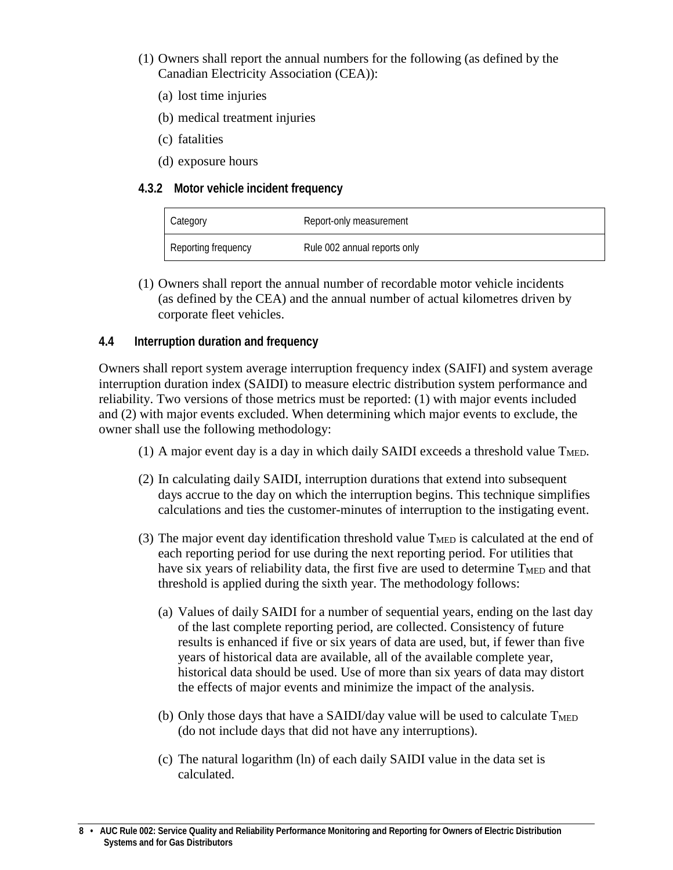- (1) Owners shall report the annual numbers for the following (as defined by the Canadian Electricity Association (CEA)):
	- (a) lost time injuries
	- (b) medical treatment injuries
	- (c) fatalities
	- (d) exposure hours

#### <span id="page-7-0"></span>**4.3.2 Motor vehicle incident frequency**

| Category            | Report-only measurement      |
|---------------------|------------------------------|
| Reporting frequency | Rule 002 annual reports only |

(1) Owners shall report the annual number of recordable motor vehicle incidents (as defined by the CEA) and the annual number of actual kilometres driven by corporate fleet vehicles.

#### <span id="page-7-1"></span>**4.4 Interruption duration and frequency**

Owners shall report system average interruption frequency index (SAIFI) and system average interruption duration index (SAIDI) to measure electric distribution system performance and reliability. Two versions of those metrics must be reported: (1) with major events included and (2) with major events excluded. When determining which major events to exclude, the owner shall use the following methodology:

- (1) A major event day is a day in which daily SAIDI exceeds a threshold value  $T<sub>MED</sub>$ .
- (2) In calculating daily SAIDI, interruption durations that extend into subsequent days accrue to the day on which the interruption begins. This technique simplifies calculations and ties the customer-minutes of interruption to the instigating event.
- (3) The major event day identification threshold value  $T<sub>MED</sub>$  is calculated at the end of each reporting period for use during the next reporting period. For utilities that have six years of reliability data, the first five are used to determine  $T<sub>MED</sub>$  and that threshold is applied during the sixth year. The methodology follows:
	- (a) Values of daily SAIDI for a number of sequential years, ending on the last day of the last complete reporting period, are collected. Consistency of future results is enhanced if five or six years of data are used, but, if fewer than five years of historical data are available, all of the available complete year, historical data should be used. Use of more than six years of data may distort the effects of major events and minimize the impact of the analysis.
	- (b) Only those days that have a SAIDI/day value will be used to calculate  $T<sub>MED</sub>$ (do not include days that did not have any interruptions).
	- (c) The natural logarithm (ln) of each daily SAIDI value in the data set is calculated.

**<sup>8 •</sup> AUC Rule 002: Service Quality and Reliability Performance Monitoring and Reporting for Owners of Electric Distribution Systems and for Gas Distributors**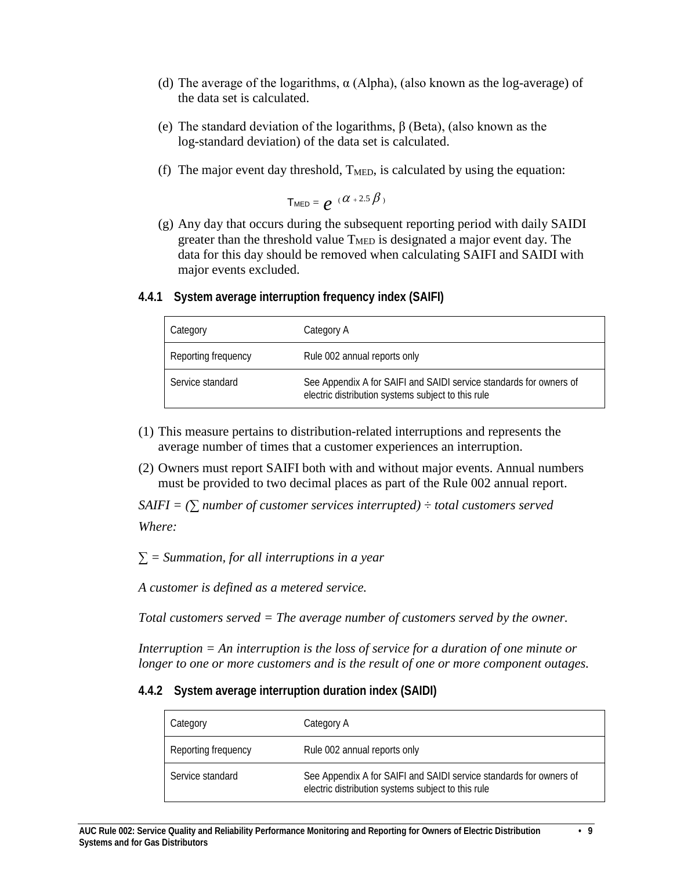- (d) The average of the logarithms,  $\alpha$  (Alpha), (also known as the log-average) of the data set is calculated.
- (e) The standard deviation of the logarithms, β (Beta), (also known as the log-standard deviation) of the data set is calculated.
- (f) The major event day threshold,  $T<sub>MED</sub>$ , is calculated by using the equation:

$$
\mathsf{T}_{\mathsf{MED}} = e^{-(\alpha + 2.5\beta)}
$$

(g) Any day that occurs during the subsequent reporting period with daily SAIDI greater than the threshold value  $T<sub>MED</sub>$  is designated a major event day. The data for this day should be removed when calculating SAIFI and SAIDI with major events excluded.

Service standard See Appendix A for SAIFI and SAIDI service standards for owners of

electric distribution systems subject to this rule

| Category            | Category A                   |
|---------------------|------------------------------|
| Reporting frequency | Rule 002 annual reports only |

# <span id="page-8-0"></span>**4.4.1 System average interruption frequency index (SAIFI)**

- (1) This measure pertains to distribution-related interruptions and represents the average number of times that a customer experiences an interruption.
- (2) Owners must report SAIFI both with and without major events. Annual numbers must be provided to two decimal places as part of the Rule 002 annual report.

*SAIFI* =  $(\sum$  *number of customer services interrupted*)  $\div$  *total customers served* 

*Where:*

*∑ = Summation, for all interruptions in a year*

*A customer is defined as a metered service.*

*Total customers served = The average number of customers served by the owner.* 

*Interruption = An interruption is the loss of service for a duration of one minute or longer to one or more customers and is the result of one or more component outages.* 

#### <span id="page-8-1"></span>**4.4.2 System average interruption duration index (SAIDI)**

| Category            | Category A                                                                                                               |
|---------------------|--------------------------------------------------------------------------------------------------------------------------|
| Reporting frequency | Rule 002 annual reports only                                                                                             |
| Service standard    | See Appendix A for SAIFI and SAIDI service standards for owners of<br>electric distribution systems subject to this rule |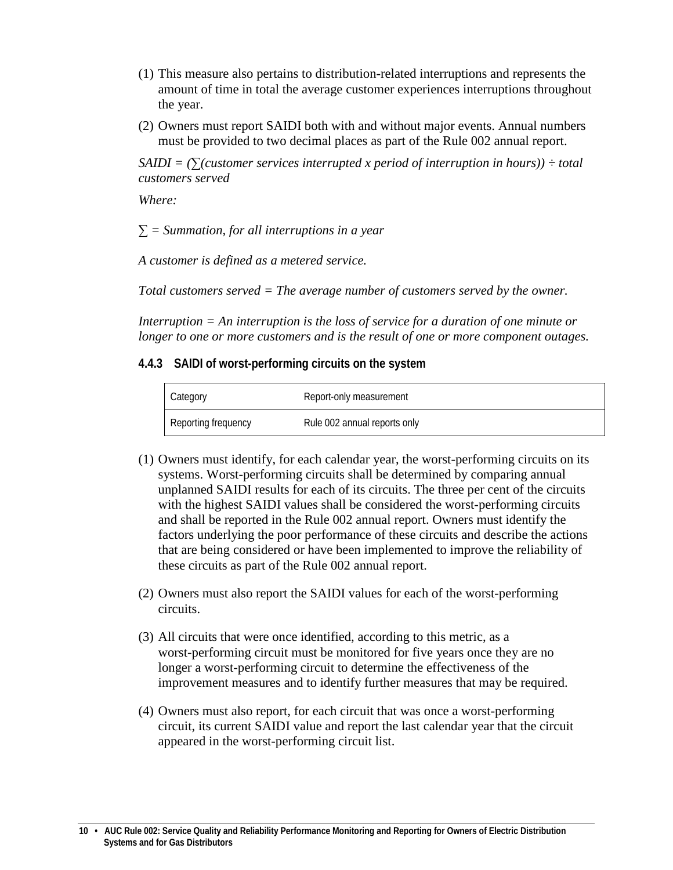- (1) This measure also pertains to distribution-related interruptions and represents the amount of time in total the average customer experiences interruptions throughout the year.
- (2) Owners must report SAIDI both with and without major events. Annual numbers must be provided to two decimal places as part of the Rule 002 annual report.

 $SADI = \left(\sum$  (*Customer services interrupted x period of interruption in hours*)) ÷ *total customers served*

*Where:* 

*∑ = Summation, for all interruptions in a year*

*A customer is defined as a metered service.*

*Total customers served = The average number of customers served by the owner.* 

*Interruption = An interruption is the loss of service for a duration of one minute or longer to one or more customers and is the result of one or more component outages.* 

#### <span id="page-9-0"></span>**4.4.3 SAIDI of worst-performing circuits on the system**

| Category            | Report-only measurement      |
|---------------------|------------------------------|
| Reporting frequency | Rule 002 annual reports only |

- (1) Owners must identify, for each calendar year, the worst-performing circuits on its systems. Worst-performing circuits shall be determined by comparing annual unplanned SAIDI results for each of its circuits. The three per cent of the circuits with the highest SAIDI values shall be considered the worst-performing circuits and shall be reported in the Rule 002 annual report. Owners must identify the factors underlying the poor performance of these circuits and describe the actions that are being considered or have been implemented to improve the reliability of these circuits as part of the Rule 002 annual report.
- (2) Owners must also report the SAIDI values for each of the worst-performing circuits.
- (3) All circuits that were once identified, according to this metric, as a worst-performing circuit must be monitored for five years once they are no longer a worst-performing circuit to determine the effectiveness of the improvement measures and to identify further measures that may be required.
- (4) Owners must also report, for each circuit that was once a worst-performing circuit, its current SAIDI value and report the last calendar year that the circuit appeared in the worst-performing circuit list.

**<sup>10 •</sup> AUC Rule 002: Service Quality and Reliability Performance Monitoring and Reporting for Owners of Electric Distribution Systems and for Gas Distributors**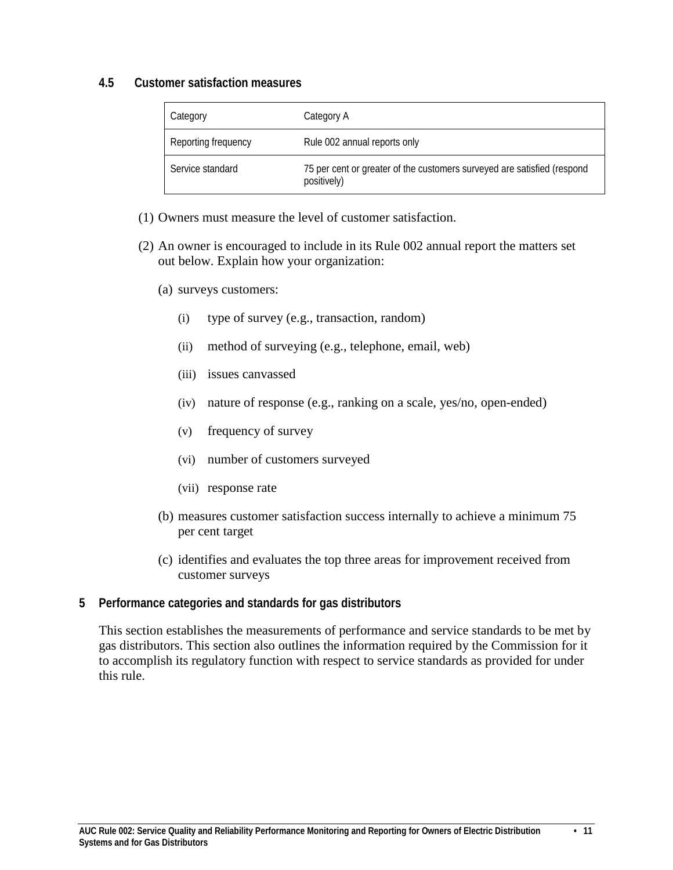#### <span id="page-10-0"></span>**4.5 Customer satisfaction measures**

| Category            | Category A                                                                             |
|---------------------|----------------------------------------------------------------------------------------|
| Reporting frequency | Rule 002 annual reports only                                                           |
| Service standard    | 75 per cent or greater of the customers surveyed are satisfied (respond<br>positively) |

- (1) Owners must measure the level of customer satisfaction.
- (2) An owner is encouraged to include in its Rule 002 annual report the matters set out below. Explain how your organization:
	- (a) surveys customers:
		- (i) type of survey (e.g., transaction, random)
		- (ii) method of surveying (e.g., telephone, email, web)
		- (iii) issues canvassed
		- (iv) nature of response (e.g., ranking on a scale, yes/no, open-ended)
		- (v) frequency of survey
		- (vi) number of customers surveyed
		- (vii) response rate
	- (b) measures customer satisfaction success internally to achieve a minimum 75 per cent target
	- (c) identifies and evaluates the top three areas for improvement received from customer surveys

#### <span id="page-10-1"></span>**5 Performance categories and standards for gas distributors**

This section establishes the measurements of performance and service standards to be met by gas distributors. This section also outlines the information required by the Commission for it to accomplish its regulatory function with respect to service standards as provided for under this rule.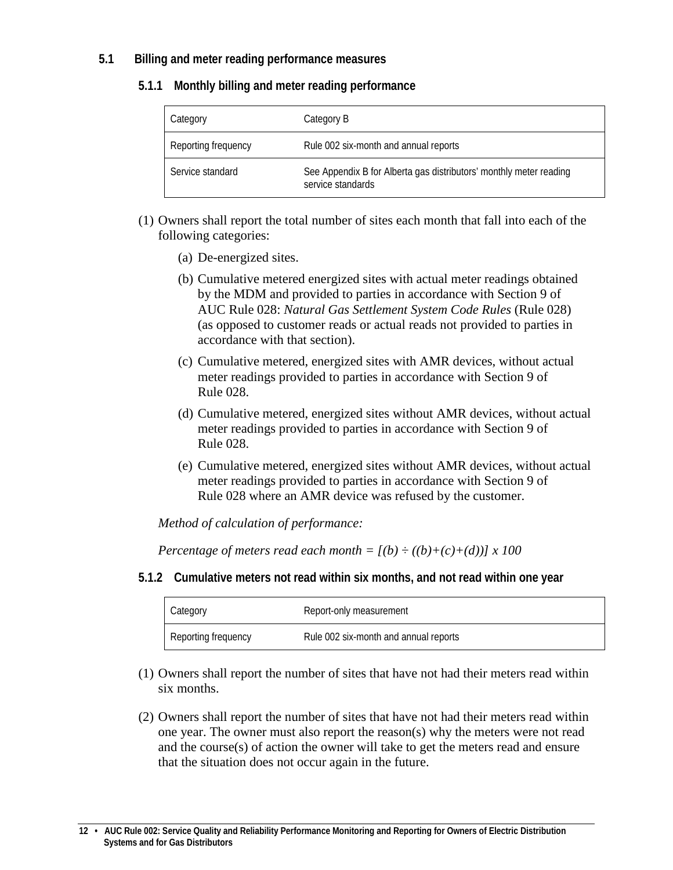## <span id="page-11-1"></span><span id="page-11-0"></span>**5.1 Billing and meter reading performance measures**

#### **5.1.1 Monthly billing and meter reading performance**

| Category            | Category B                                                                              |
|---------------------|-----------------------------------------------------------------------------------------|
| Reporting frequency | Rule 002 six-month and annual reports                                                   |
| Service standard    | See Appendix B for Alberta gas distributors' monthly meter reading<br>service standards |

- (1) Owners shall report the total number of sites each month that fall into each of the following categories:
	- (a) De-energized sites.
	- (b) Cumulative metered energized sites with actual meter readings obtained by the MDM and provided to parties in accordance with Section 9 of AUC Rule 028: *Natural Gas Settlement System Code Rules* (Rule 028) (as opposed to customer reads or actual reads not provided to parties in accordance with that section).
	- (c) Cumulative metered, energized sites with AMR devices, without actual meter readings provided to parties in accordance with Section 9 of Rule 028.
	- (d) Cumulative metered, energized sites without AMR devices, without actual meter readings provided to parties in accordance with Section 9 of Rule 028.
	- (e) Cumulative metered, energized sites without AMR devices, without actual meter readings provided to parties in accordance with Section 9 of Rule 028 where an AMR device was refused by the customer.

*Method of calculation of performance:*

*Percentage of meters read each month*  $=$   $[(b) \div ((b)+(c)+(d))]$  *x* 100

<span id="page-11-2"></span>**5.1.2 Cumulative meters not read within six months, and not read within one year**

| Category            | Report-only measurement               |
|---------------------|---------------------------------------|
| Reporting frequency | Rule 002 six-month and annual reports |

- (1) Owners shall report the number of sites that have not had their meters read within six months.
- (2) Owners shall report the number of sites that have not had their meters read within one year. The owner must also report the reason(s) why the meters were not read and the course(s) of action the owner will take to get the meters read and ensure that the situation does not occur again in the future.

**<sup>12 •</sup> AUC Rule 002: Service Quality and Reliability Performance Monitoring and Reporting for Owners of Electric Distribution Systems and for Gas Distributors**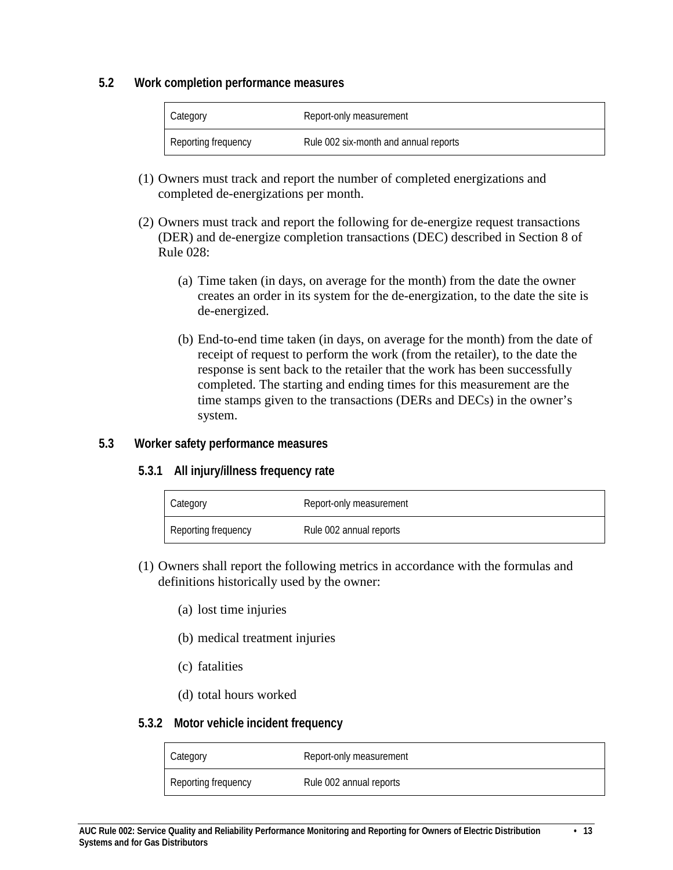#### <span id="page-12-0"></span>**5.2 Work completion performance measures**

| Category            | Report-only measurement               |
|---------------------|---------------------------------------|
| Reporting frequency | Rule 002 six-month and annual reports |

- (1) Owners must track and report the number of completed energizations and completed de-energizations per month.
- (2) Owners must track and report the following for de-energize request transactions (DER) and de-energize completion transactions (DEC) described in Section 8 of Rule 028:
	- (a) Time taken (in days, on average for the month) from the date the owner creates an order in its system for the de-energization, to the date the site is de-energized.
	- (b) End-to-end time taken (in days, on average for the month) from the date of receipt of request to perform the work (from the retailer), to the date the response is sent back to the retailer that the work has been successfully completed. The starting and ending times for this measurement are the time stamps given to the transactions (DERs and DECs) in the owner's system.

## <span id="page-12-2"></span><span id="page-12-1"></span>**5.3 Worker safety performance measures**

## **5.3.1 All injury/illness frequency rate**

| Category            | Report-only measurement |
|---------------------|-------------------------|
| Reporting frequency | Rule 002 annual reports |

- (1) Owners shall report the following metrics in accordance with the formulas and definitions historically used by the owner:
	- (a) lost time injuries
	- (b) medical treatment injuries
	- (c) fatalities
	- (d) total hours worked

#### <span id="page-12-3"></span>**5.3.2 Motor vehicle incident frequency**

| Category            | Report-only measurement |
|---------------------|-------------------------|
| Reporting frequency | Rule 002 annual reports |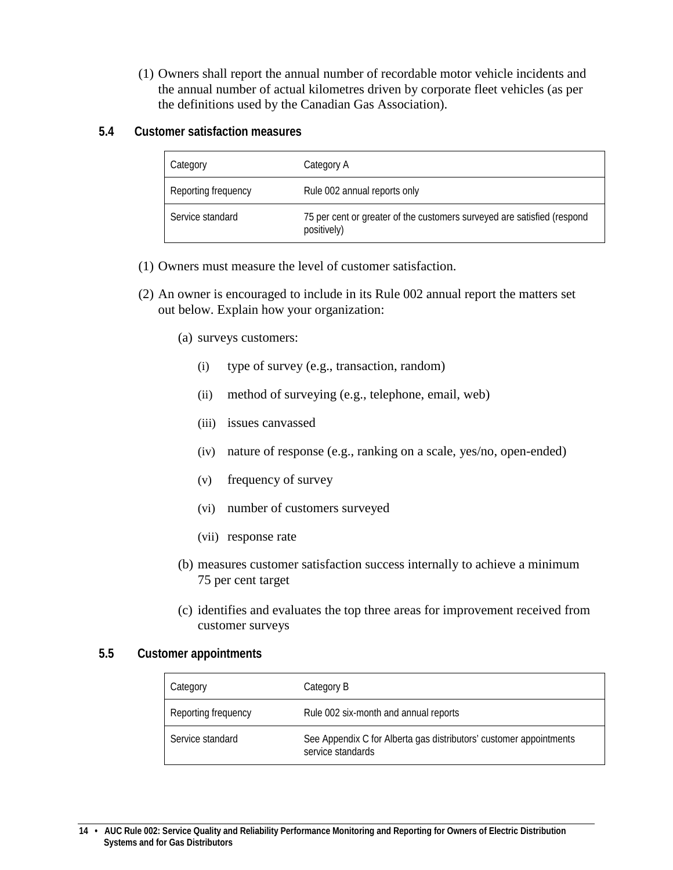- (1) Owners shall report the annual number of recordable motor vehicle incidents and the annual number of actual kilometres driven by corporate fleet vehicles (as per the definitions used by the Canadian Gas Association).
- <span id="page-13-0"></span>**5.4 Customer satisfaction measures**

| Category            | Category A                                                                             |
|---------------------|----------------------------------------------------------------------------------------|
| Reporting frequency | Rule 002 annual reports only                                                           |
| Service standard    | 75 per cent or greater of the customers surveyed are satisfied (respond<br>positively) |

- (1) Owners must measure the level of customer satisfaction.
- (2) An owner is encouraged to include in its Rule 002 annual report the matters set out below. Explain how your organization:
	- (a) surveys customers:
		- (i) type of survey (e.g., transaction, random)
		- (ii) method of surveying (e.g., telephone, email, web)
		- (iii) issues canvassed
		- (iv) nature of response (e.g., ranking on a scale, yes/no, open-ended)
		- (v) frequency of survey
		- (vi) number of customers surveyed
		- (vii) response rate
	- (b) measures customer satisfaction success internally to achieve a minimum 75 per cent target
	- (c) identifies and evaluates the top three areas for improvement received from customer surveys

#### <span id="page-13-1"></span>**5.5 Customer appointments**

| Category            | Category B                                                                              |
|---------------------|-----------------------------------------------------------------------------------------|
| Reporting frequency | Rule 002 six-month and annual reports                                                   |
| Service standard    | See Appendix C for Alberta gas distributors' customer appointments<br>service standards |

**<sup>14 •</sup> AUC Rule 002: Service Quality and Reliability Performance Monitoring and Reporting for Owners of Electric Distribution Systems and for Gas Distributors**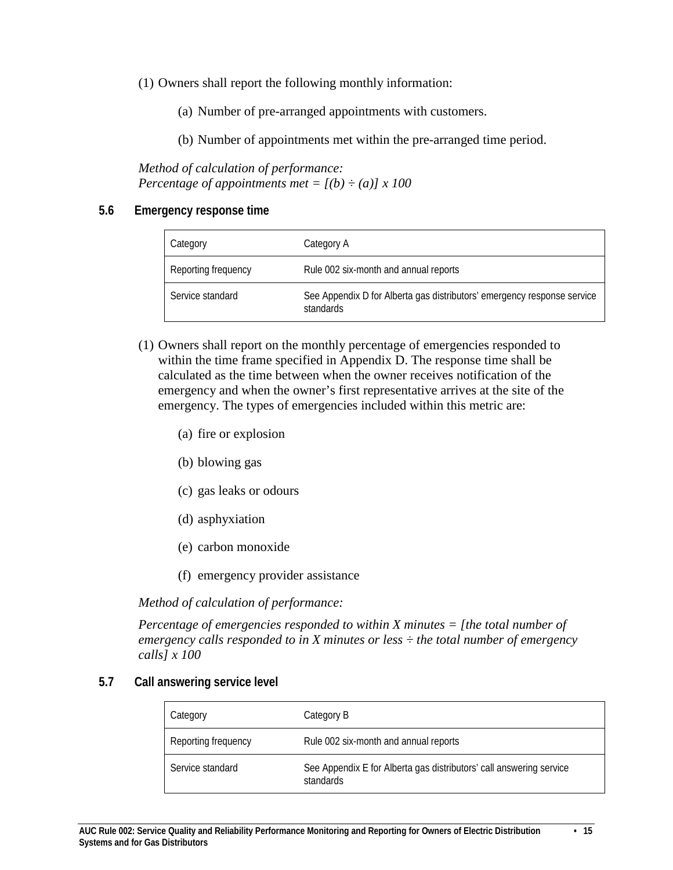(1) Owners shall report the following monthly information:

- (a) Number of pre-arranged appointments with customers.
- (b) Number of appointments met within the pre-arranged time period.

*Method of calculation of performance: Percentage of appointments met* =  $[(b) \div (a)] \times 100$ 

#### <span id="page-14-0"></span>**5.6 Emergency response time**

| Category            | Category A                                                                           |
|---------------------|--------------------------------------------------------------------------------------|
| Reporting frequency | Rule 002 six-month and annual reports                                                |
| Service standard    | See Appendix D for Alberta gas distributors' emergency response service<br>standards |

- (1) Owners shall report on the monthly percentage of emergencies responded to within the time frame specified in Appendix D. The response time shall be calculated as the time between when the owner receives notification of the emergency and when the owner's first representative arrives at the site of the emergency. The types of emergencies included within this metric are:
	- (a) fire or explosion
	- (b) blowing gas
	- (c) gas leaks or odours
	- (d) asphyxiation
	- (e) carbon monoxide
	- (f) emergency provider assistance

*Method of calculation of performance:*

*Percentage of emergencies responded to within X minutes = [the total number of emergency calls responded to in X minutes or less ÷ the total number of emergency calls] x 100*

#### <span id="page-14-1"></span>**5.7 Call answering service level**

| Category            | Category B                                                                       |
|---------------------|----------------------------------------------------------------------------------|
| Reporting frequency | Rule 002 six-month and annual reports                                            |
| Service standard    | See Appendix E for Alberta gas distributors' call answering service<br>standards |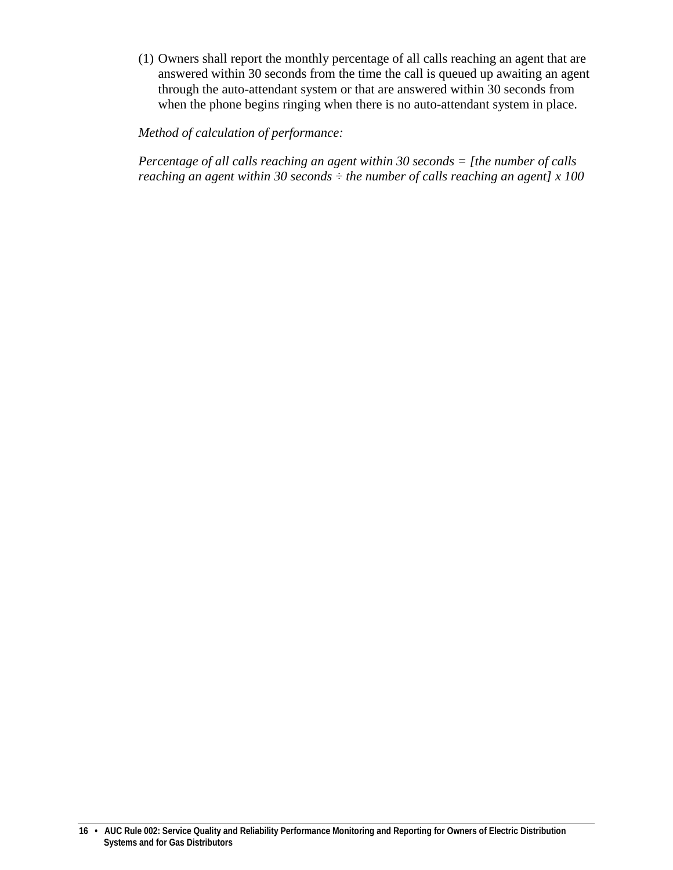(1) Owners shall report the monthly percentage of all calls reaching an agent that are answered within 30 seconds from the time the call is queued up awaiting an agent through the auto-attendant system or that are answered within 30 seconds from when the phone begins ringing when there is no auto-attendant system in place.

*Method of calculation of performance:*

*Percentage of all calls reaching an agent within 30 seconds = [the number of calls reaching an agent within 30 seconds ÷ the number of calls reaching an agent] x 100*

**<sup>16 •</sup> AUC Rule 002: Service Quality and Reliability Performance Monitoring and Reporting for Owners of Electric Distribution Systems and for Gas Distributors**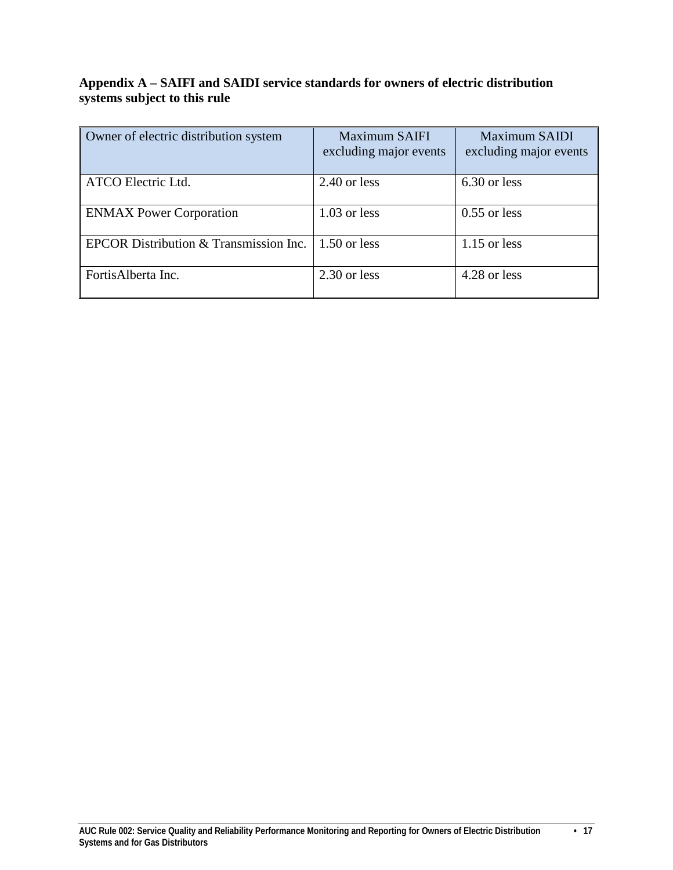# <span id="page-16-0"></span>**Appendix A – SAIFI and SAIDI service standards for owners of electric distribution systems subject to this rule**

| Owner of electric distribution system  | <b>Maximum SAIFI</b><br>excluding major events | Maximum SAIDI<br>excluding major events |
|----------------------------------------|------------------------------------------------|-----------------------------------------|
| ATCO Electric Ltd.                     | $2.40$ or less                                 | 6.30 or less                            |
| <b>ENMAX Power Corporation</b>         | $1.03$ or less                                 | $0.55$ or less                          |
| EPCOR Distribution & Transmission Inc. | $1.50$ or less                                 | $1.15$ or less                          |
| FortisAlberta Inc.                     | 2.30 or less                                   | 4.28 or less                            |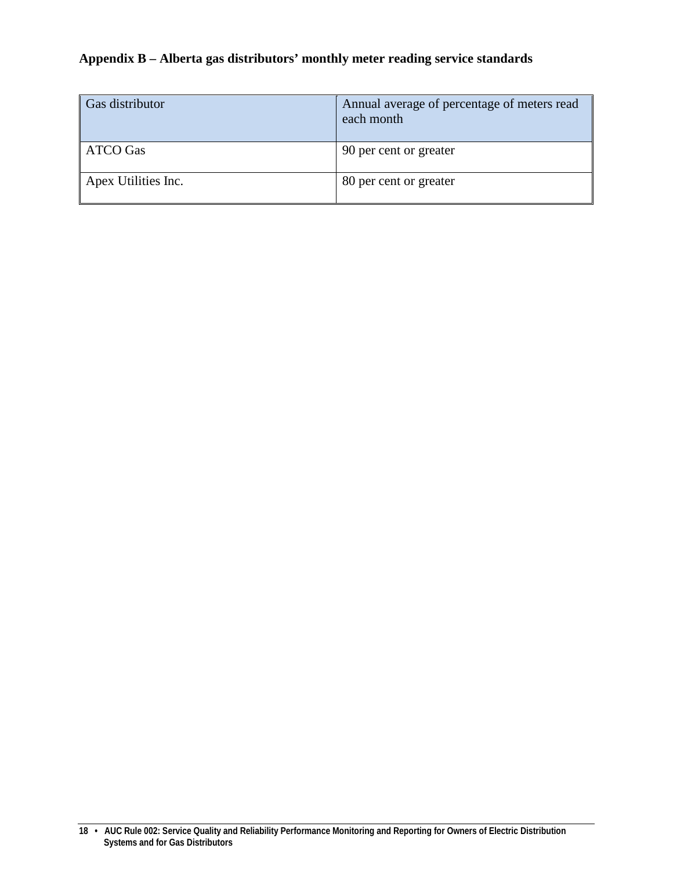# <span id="page-17-0"></span>**Appendix B – Alberta gas distributors' monthly meter reading service standards**

| Gas distributor     | Annual average of percentage of meters read<br>each month |
|---------------------|-----------------------------------------------------------|
| ATCO Gas            | 90 per cent or greater                                    |
| Apex Utilities Inc. | 80 per cent or greater                                    |

**<sup>18 •</sup> AUC Rule 002: Service Quality and Reliability Performance Monitoring and Reporting for Owners of Electric Distribution Systems and for Gas Distributors**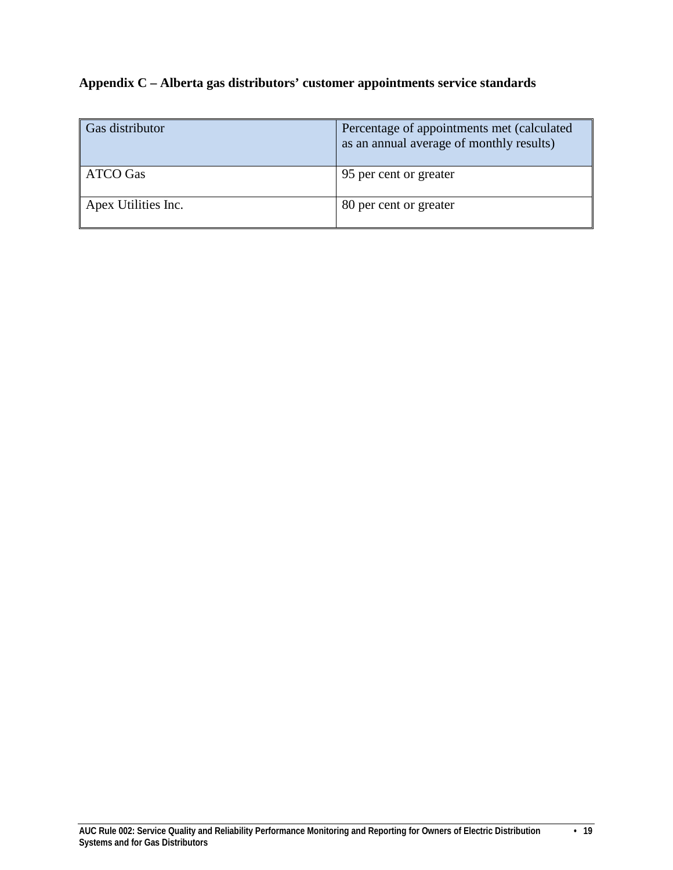# <span id="page-18-0"></span>**Appendix C – Alberta gas distributors' customer appointments service standards**

| Gas distributor     | Percentage of appointments met (calculated<br>as an annual average of monthly results) |
|---------------------|----------------------------------------------------------------------------------------|
| <b>ATCO Gas</b>     | 95 per cent or greater                                                                 |
| Apex Utilities Inc. | 80 per cent or greater                                                                 |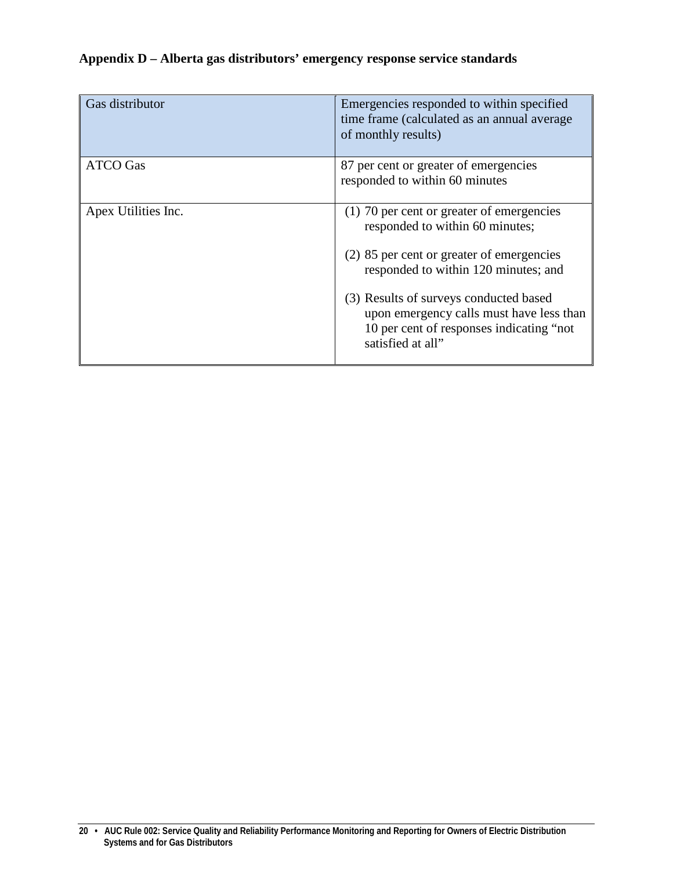# <span id="page-19-0"></span>**Appendix D – Alberta gas distributors' emergency response service standards**

| Gas distributor     | Emergencies responded to within specified<br>time frame (calculated as an annual average<br>of monthly results)                                                                                                                                                                                                          |
|---------------------|--------------------------------------------------------------------------------------------------------------------------------------------------------------------------------------------------------------------------------------------------------------------------------------------------------------------------|
| <b>ATCO Gas</b>     | 87 per cent or greater of emergencies<br>responded to within 60 minutes                                                                                                                                                                                                                                                  |
| Apex Utilities Inc. | (1) 70 per cent or greater of emergencies<br>responded to within 60 minutes;<br>(2) 85 per cent or greater of emergencies<br>responded to within 120 minutes; and<br>(3) Results of surveys conducted based<br>upon emergency calls must have less than<br>10 per cent of responses indicating "not<br>satisfied at all" |

**<sup>20 •</sup> AUC Rule 002: Service Quality and Reliability Performance Monitoring and Reporting for Owners of Electric Distribution Systems and for Gas Distributors**